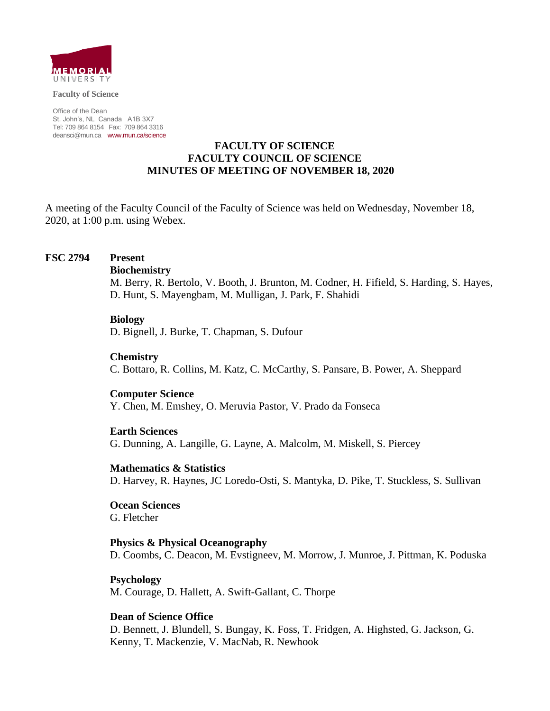

**Faculty of Science**

Office of the Dean St. John's, NL Canada A1B 3X7 Tel: 709 864 8154 Fax: 709 864 3316 [deansci@mun.ca](mailto:deansci@mun.ca) [www.mun.ca/science](http://www.mun.ca/science)

### **FACULTY OF SCIENCE FACULTY COUNCIL OF SCIENCE MINUTES OF MEETING OF NOVEMBER 18, 2020**

A meeting of the Faculty Council of the Faculty of Science was held on Wednesday, November 18, 2020, at 1:00 p.m. using Webex.

### **FSC 2794 Present**

### **Biochemistry**

M. Berry, R. Bertolo, V. Booth, J. Brunton, M. Codner, H. Fifield, S. Harding, S. Hayes, D. Hunt, S. Mayengbam, M. Mulligan, J. Park, F. Shahidi

### **Biology**

D. Bignell, J. Burke, T. Chapman, S. Dufour

### **Chemistry**

C. Bottaro, R. Collins, M. Katz, C. McCarthy, S. Pansare, B. Power, A. Sheppard

### **Computer Science**

Y. Chen, M. Emshey, O. Meruvia Pastor, V. Prado da Fonseca

### **Earth Sciences**

G. Dunning, A. Langille, G. Layne, A. Malcolm, M. Miskell, S. Piercey

### **Mathematics & Statistics**

D. Harvey, R. Haynes, JC Loredo-Osti, S. Mantyka, D. Pike, T. Stuckless, S. Sullivan

**Ocean Sciences** G. Fletcher

### **Physics & Physical Oceanography**

D. Coombs, C. Deacon, M. Evstigneev, M. Morrow, J. Munroe, J. Pittman, K. Poduska

### **Psychology**

M. Courage, D. Hallett, A. Swift-Gallant, C. Thorpe

### **Dean of Science Office**

D. Bennett, J. Blundell, S. Bungay, K. Foss, T. Fridgen, A. Highsted, G. Jackson, G. Kenny, T. Mackenzie, V. MacNab, R. Newhook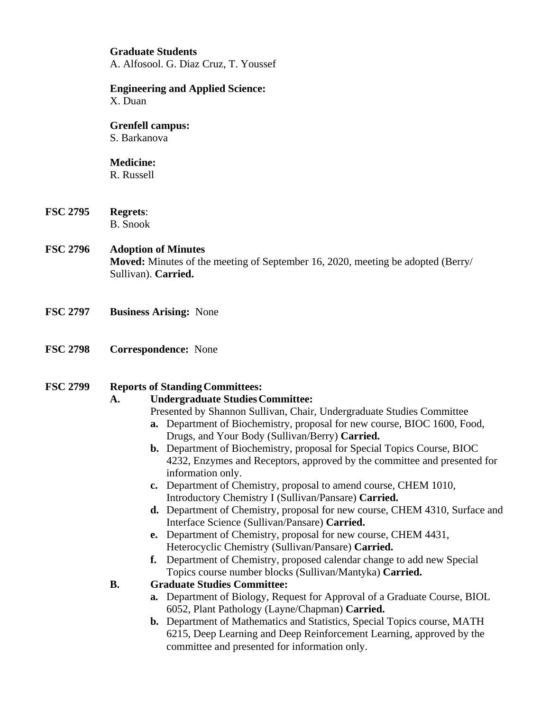## **Graduate Students**  A. Alfosool. G. Diaz Cruz, T. Youssef

#### **Engineering and Applied Science:** X. Duan

# **Grenfell campus:**

S. Barkanova

# **Medicine:**

R. Russell

**FSC 2795 Regrets**: B. Snook

## **FSC 2796 Adoption of Minutes Moved:** Minutes of the meeting of September 16, 2020, meeting be adopted (Berry/ Sullivan). **Carried.**

- **FSC 2797 Business Arising:** None
- **FSC 2798 Correspondence:** None

# **FSC 2799 Reports of Standing Committees:**

# **A. Undergraduate Studies Committee:**

- Presented by Shannon Sullivan, Chair, Undergraduate Studies Committee
- **a.** Department of Biochemistry, proposal for new course, BIOC 1600, Food, Drugs, and Your Body (Sullivan/Berry) **Carried.**
- **b.** Department of Biochemistry, proposal for Special Topics Course, BIOC 4232, Enzymes and Receptors, approved by the committee and presented for information only.
- **c.** Department of Chemistry, proposal to amend course, CHEM 1010, Introductory Chemistry I (Sullivan/Pansare) **Carried.**
- **d.** Department of Chemistry, proposal for new course, CHEM 4310, Surface and Interface Science (Sullivan/Pansare) **Carried.**
- **e.** Department of Chemistry, proposal for new course, CHEM 4431, Heterocyclic Chemistry (Sullivan/Pansare) **Carried.**
- **f.** Department of Chemistry, proposed calendar change to add new Special Topics course number blocks (Sullivan/Mantyka) **Carried.**

# **B. Graduate Studies Committee:**

- **a.** Department of Biology, Request for Approval of a Graduate Course, BIOL 6052, Plant Pathology (Layne/Chapman) **Carried.**
- **b.** Department of Mathematics and Statistics, Special Topics course, MATH 6215, Deep Learning and Deep Reinforcement Learning, approved by the committee and presented for information only.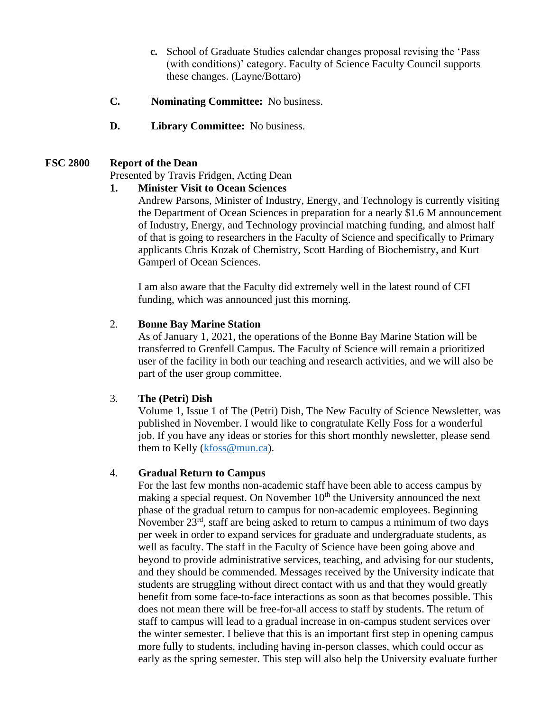- **c.** School of Graduate Studies calendar changes proposal revising the 'Pass (with conditions)' category. Faculty of Science Faculty Council supports these changes. (Layne/Bottaro)
- **C. Nominating Committee:** No business.
- **D. Library Committee:** No business.

## **FSC 2800 Report of the Dean**

Presented by Travis Fridgen, Acting Dean

## **1. Minister Visit to Ocean Sciences**

Andrew Parsons, Minister of Industry, Energy, and Technology is currently visiting the Department of Ocean Sciences in preparation for a nearly \$1.6 M announcement of Industry, Energy, and Technology provincial matching funding, and almost half of that is going to researchers in the Faculty of Science and specifically to Primary applicants Chris Kozak of Chemistry, Scott Harding of Biochemistry, and Kurt Gamperl of Ocean Sciences.

I am also aware that the Faculty did extremely well in the latest round of CFI funding, which was announced just this morning.

### 2. **Bonne Bay Marine Station**

As of January 1, 2021, the operations of the Bonne Bay Marine Station will be transferred to Grenfell Campus. The Faculty of Science will remain a prioritized user of the facility in both our teaching and research activities, and we will also be part of the user group committee.

# 3. **The (Petri) Dish**

Volume 1, Issue 1 of The (Petri) Dish, The New Faculty of Science Newsletter, was published in November. I would like to congratulate Kelly Foss for a wonderful job. If you have any ideas or stories for this short monthly newsletter, please send them to Kelly [\(kfoss@mun.ca\)](mailto:kfoss@mun.ca).

### 4. **Gradual Return to Campus**

For the last few months non-academic staff have been able to access campus by making a special request. On November  $10<sup>th</sup>$  the University announced the next phase of the gradual return to campus for non-academic employees. Beginning November 23<sup>rd</sup>, staff are being asked to return to campus a minimum of two days per week in order to expand services for graduate and undergraduate students, as well as faculty. The staff in the Faculty of Science have been going above and beyond to provide administrative services, teaching, and advising for our students, and they should be commended. Messages received by the University indicate that students are struggling without direct contact with us and that they would greatly benefit from some face-to-face interactions as soon as that becomes possible. This does not mean there will be free-for-all access to staff by students. The return of staff to campus will lead to a gradual increase in on-campus student services over the winter semester. I believe that this is an important first step in opening campus more fully to students, including having in-person classes, which could occur as early as the spring semester. This step will also help the University evaluate further